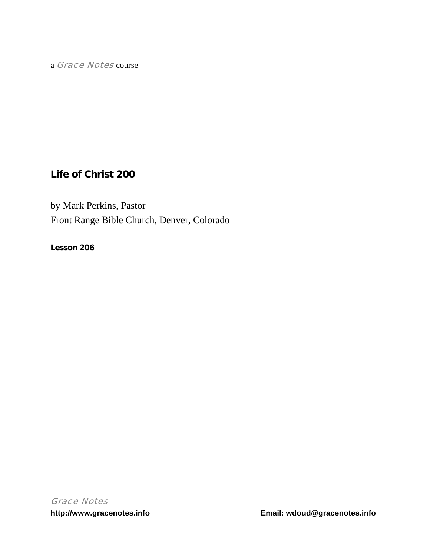a Grace Notes course

# **Life of Christ 200**

by Mark Perkins, Pastor Front Range Bible Church, Denver, Colorado

**Lesson 206**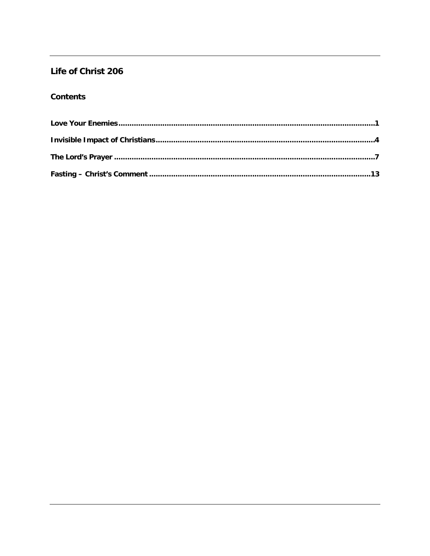## Life of Christ 206

## **Contents**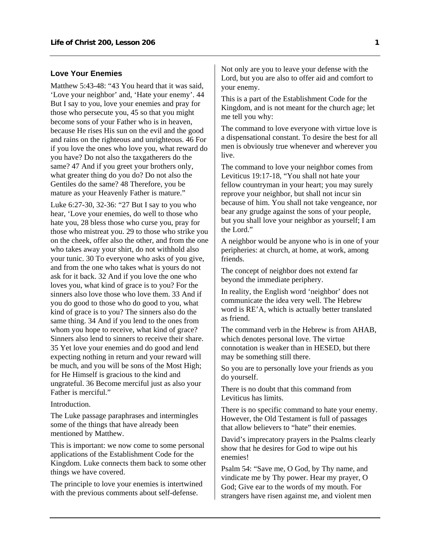### <span id="page-2-0"></span>**Love Your Enemies**

Matthew 5:43-48: "43 You heard that it was said, 'Love your neighbor' and, 'Hate your enemy'. 44 But I say to you, love your enemies and pray for those who persecute you, 45 so that you might become sons of your Father who is in heaven, because He rises His sun on the evil and the good and rains on the righteous and unrighteous. 46 For if you love the ones who love you, what reward do you have? Do not also the taxgatherers do the same? 47 And if you greet your brothers only, what greater thing do you do? Do not also the Gentiles do the same? 48 Therefore, you be mature as your Heavenly Father is mature."

Luke 6:27-30, 32-36: "27 But I say to you who hear, 'Love your enemies, do well to those who hate you, 28 bless those who curse you, pray for those who mistreat you. 29 to those who strike you on the cheek, offer also the other, and from the one who takes away your shirt, do not withhold also your tunic. 30 To everyone who asks of you give, and from the one who takes what is yours do not ask for it back. 32 And if you love the one who loves you, what kind of grace is to you? For the sinners also love those who love them. 33 And if you do good to those who do good to you, what kind of grace is to you? The sinners also do the same thing. 34 And if you lend to the ones from whom you hope to receive, what kind of grace? Sinners also lend to sinners to receive their share. 35 Yet love your enemies and do good and lend expecting nothing in return and your reward will be much, and you will be sons of the Most High; for He Himself is gracious to the kind and ungrateful. 36 Become merciful just as also your Father is merciful."

#### **Introduction**

The Luke passage paraphrases and intermingles some of the things that have already been mentioned by Matthew.

This is important: we now come to some personal applications of the Establishment Code for the Kingdom. Luke connects them back to some other things we have covered.

The principle to love your enemies is intertwined with the previous comments about self-defense.

Not only are you to leave your defense with the Lord, but you are also to offer aid and comfort to your enemy.

This is a part of the Establishment Code for the Kingdom, and is not meant for the church age; let me tell you why:

The command to love everyone with virtue love is a dispensational constant. To desire the best for all men is obviously true whenever and wherever you live.

The command to love your neighbor comes from Leviticus 19:17-18, "You shall not hate your fellow countryman in your heart; you may surely reprove your neighbor, but shall not incur sin because of him. You shall not take vengeance, nor bear any grudge against the sons of your people, but you shall love your neighbor as yourself; I am the Lord."

A neighbor would be anyone who is in one of your peripheries: at church, at home, at work, among friends.

The concept of neighbor does not extend far beyond the immediate periphery.

In reality, the English word 'neighbor' does not communicate the idea very well. The Hebrew word is RE'A, which is actually better translated as friend.

The command verb in the Hebrew is from AHAB, which denotes personal love. The virtue connotation is weaker than in HESED, but there may be something still there.

So you are to personally love your friends as you do yourself.

There is no doubt that this command from Leviticus has limits.

There is no specific command to hate your enemy. However, the Old Testament is full of passages that allow believers to "hate" their enemies.

David's imprecatory prayers in the Psalms clearly show that he desires for God to wipe out his enemies!

Psalm 54: "Save me, O God, by Thy name, and vindicate me by Thy power. Hear my prayer, O God; Give ear to the words of my mouth. For strangers have risen against me, and violent men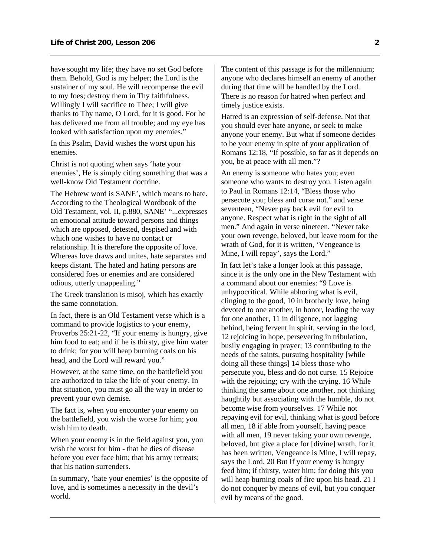have sought my life; they have no set God before them. Behold, God is my helper; the Lord is the sustainer of my soul. He will recompense the evil to my foes; destroy them in Thy faithfulness. Willingly I will sacrifice to Thee; I will give thanks to Thy name, O Lord, for it is good. For he has delivered me from all trouble; and my eye has looked with satisfaction upon my enemies."

In this Psalm, David wishes the worst upon his enemies.

Christ is not quoting when says 'hate your enemies', He is simply citing something that was a well-know Old Testament doctrine.

The Hebrew word is SANE', which means to hate. According to the Theological Wordbook of the Old Testament, vol. II, p.880, SANE' "...expresses an emotional attitude toward persons and things which are opposed, detested, despised and with which one wishes to have no contact or relationship. It is therefore the opposite of love. Whereas love draws and unites, hate separates and keeps distant. The hated and hating persons are considered foes or enemies and are considered odious, utterly unappealing."

The Greek translation is misoj, which has exactly the same connotation.

In fact, there is an Old Testament verse which is a command to provide logistics to your enemy, Proverbs 25:21-22, "If your enemy is hungry, give him food to eat; and if he is thirsty, give him water to drink; for you will heap burning coals on his head, and the Lord will reward you."

However, at the same time, on the battlefield you are authorized to take the life of your enemy. In that situation, you must go all the way in order to prevent your own demise.

The fact is, when you encounter your enemy on the battlefield, you wish the worse for him; you wish him to death.

When your enemy is in the field against you, you wish the worst for him - that he dies of disease before you ever face him; that his army retreats; that his nation surrenders.

In summary, 'hate your enemies' is the opposite of love, and is sometimes a necessity in the devil's world.

The content of this passage is for the millennium; anyone who declares himself an enemy of another during that time will be handled by the Lord. There is no reason for hatred when perfect and timely justice exists.

Hatred is an expression of self-defense. Not that you should ever hate anyone, or seek to make anyone your enemy. But what if someone decides to be your enemy in spite of your application of Romans 12:18, "If possible, so far as it depends on you, be at peace with all men."?

An enemy is someone who hates you; even someone who wants to destroy you. Listen again to Paul in Romans 12:14, "Bless those who persecute you; bless and curse not." and verse seventeen, "Never pay back evil for evil to anyone. Respect what is right in the sight of all men." And again in verse nineteen, "Never take your own revenge, beloved, but leave room for the wrath of God, for it is written, 'Vengeance is Mine, I will repay', says the Lord."

In fact let's take a longer look at this passage, since it is the only one in the New Testament with a command about our enemies: "9 Love is unhypocritical. While abhoring what is evil, clinging to the good, 10 in brotherly love, being devoted to one another, in honor, leading the way for one another, 11 in diligence, not lagging behind, being fervent in spirit, serving in the lord, 12 rejoicing in hope, persevering in tribulation, busily engaging in prayer; 13 contributing to the needs of the saints, pursuing hospitality [while doing all these things] 14 bless those who persecute you, bless and do not curse. 15 Rejoice with the rejoicing; cry with the crying. 16 While thinking the same about one another, not thinking haughtily but associating with the humble, do not become wise from yourselves. 17 While not repaying evil for evil, thinking what is good before all men, 18 if able from yourself, having peace with all men, 19 never taking your own revenge, beloved, but give a place for [divine] wrath, for it has been written, Vengeance is Mine, I will repay, says the Lord. 20 But If your enemy is hungry feed him; if thirsty, water him; for doing this you will heap burning coals of fire upon his head. 21 I do not conquer by means of evil, but you conquer evil by means of the good.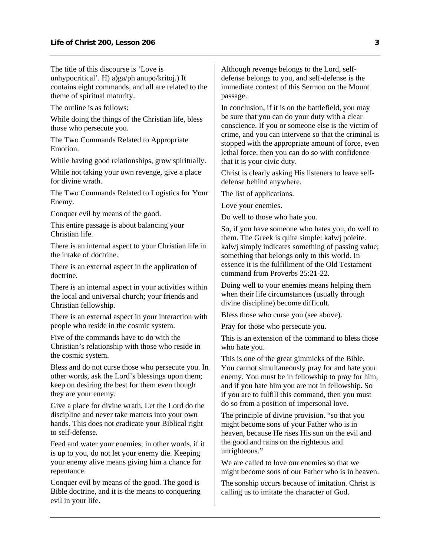The title of this discourse is 'Love is unhypocritical'. H) a)ga/ph anupo/kritoj.) It contains eight commands, and all are related to the theme of spiritual maturity.

The outline is as follows:

While doing the things of the Christian life, bless those who persecute you.

The Two Commands Related to Appropriate Emotion.

While having good relationships, grow spiritually.

While not taking your own revenge, give a place for divine wrath.

The Two Commands Related to Logistics for Your Enemy.

Conquer evil by means of the good.

This entire passage is about balancing your Christian life.

There is an internal aspect to your Christian life in the intake of doctrine.

There is an external aspect in the application of doctrine.

There is an internal aspect in your activities within the local and universal church; your friends and Christian fellowship.

There is an external aspect in your interaction with people who reside in the cosmic system.

Five of the commands have to do with the Christian's relationship with those who reside in the cosmic system.

Bless and do not curse those who persecute you. In other words, ask the Lord's blessings upon them; keep on desiring the best for them even though they are your enemy.

Give a place for divine wrath. Let the Lord do the discipline and never take matters into your own hands. This does not eradicate your Biblical right to self-defense.

Feed and water your enemies; in other words, if it is up to you, do not let your enemy die. Keeping your enemy alive means giving him a chance for repentance.

Conquer evil by means of the good. The good is Bible doctrine, and it is the means to conquering evil in your life.

Although revenge belongs to the Lord, selfdefense belongs to you, and self-defense is the immediate context of this Sermon on the Mount passage.

In conclusion, if it is on the battlefield, you may be sure that you can do your duty with a clear conscience. If you or someone else is the victim of crime, and you can intervene so that the criminal is stopped with the appropriate amount of force, even lethal force, then you can do so with confidence that it is your civic duty.

Christ is clearly asking His listeners to leave selfdefense behind anywhere.

The list of applications.

Love your enemies.

Do well to those who hate you.

So, if you have someone who hates you, do well to them. The Greek is quite simple: kalwj poieite. kalwj simply indicates something of passing value; something that belongs only to this world. In essence it is the fulfillment of the Old Testament command from Proverbs 25:21-22.

Doing well to your enemies means helping them when their life circumstances (usually through divine discipline) become difficult.

Bless those who curse you (see above).

Pray for those who persecute you.

This is an extension of the command to bless those who hate you.

This is one of the great gimmicks of the Bible. You cannot simultaneously pray for and hate your enemy. You must be in fellowship to pray for him, and if you hate him you are not in fellowship. So if you are to fulfill this command, then you must do so from a position of impersonal love.

The principle of divine provision. "so that you might become sons of your Father who is in heaven, because He rises His sun on the evil and the good and rains on the righteous and unrighteous."

We are called to love our enemies so that we might become sons of our Father who is in heaven.

The sonship occurs because of imitation. Christ is calling us to imitate the character of God.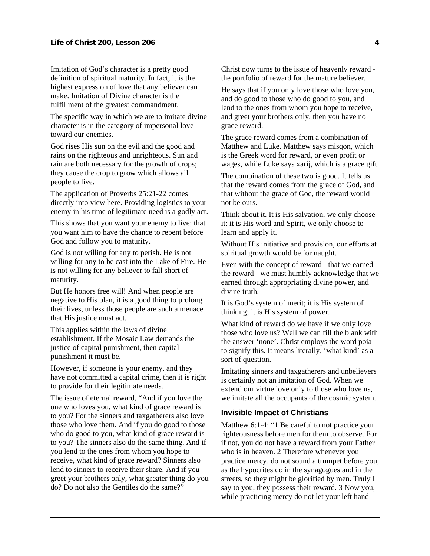<span id="page-5-0"></span>Imitation of God's character is a pretty good definition of spiritual maturity. In fact, it is the highest expression of love that any believer can make. Imitation of Divine character is the fulfillment of the greatest commandment.

The specific way in which we are to imitate divine character is in the category of impersonal love toward our enemies.

God rises His sun on the evil and the good and rains on the righteous and unrighteous. Sun and rain are both necessary for the growth of crops; they cause the crop to grow which allows all people to live.

The application of Proverbs 25:21-22 comes directly into view here. Providing logistics to your enemy in his time of legitimate need is a godly act.

This shows that you want your enemy to live; that you want him to have the chance to repent before God and follow you to maturity.

God is not willing for any to perish. He is not willing for any to be cast into the Lake of Fire. He is not willing for any believer to fall short of maturity.

But He honors free will! And when people are negative to His plan, it is a good thing to prolong their lives, unless those people are such a menace that His justice must act.

This applies within the laws of divine establishment. If the Mosaic Law demands the justice of capital punishment, then capital punishment it must be.

However, if someone is your enemy, and they have not committed a capital crime, then it is right to provide for their legitimate needs.

The issue of eternal reward, "And if you love the one who loves you, what kind of grace reward is to you? For the sinners and taxgatherers also love those who love them. And if you do good to those who do good to you, what kind of grace reward is to you? The sinners also do the same thing. And if you lend to the ones from whom you hope to receive, what kind of grace reward? Sinners also lend to sinners to receive their share. And if you greet your brothers only, what greater thing do you do? Do not also the Gentiles do the same?"

Christ now turns to the issue of heavenly reward the portfolio of reward for the mature believer.

He says that if you only love those who love you, and do good to those who do good to you, and lend to the ones from whom you hope to receive, and greet your brothers only, then you have no grace reward.

The grace reward comes from a combination of Matthew and Luke. Matthew says misqon, which is the Greek word for reward, or even profit or wages, while Luke says xarij, which is a grace gift.

The combination of these two is good. It tells us that the reward comes from the grace of God, and that without the grace of God, the reward would not be ours.

Think about it. It is His salvation, we only choose it; it is His word and Spirit, we only choose to learn and apply it.

Without His initiative and provision, our efforts at spiritual growth would be for naught.

Even with the concept of reward - that we earned the reward - we must humbly acknowledge that we earned through appropriating divine power, and divine truth.

It is God's system of merit; it is His system of thinking; it is His system of power.

What kind of reward do we have if we only love those who love us? Well we can fill the blank with the answer 'none'. Christ employs the word poia to signify this. It means literally, 'what kind' as a sort of question.

Imitating sinners and taxgatherers and unbelievers is certainly not an imitation of God. When we extend our virtue love only to those who love us, we imitate all the occupants of the cosmic system.

## **Invisible Impact of Christians**

Matthew 6:1-4: "1 Be careful to not practice your righteousness before men for them to observe. For if not, you do not have a reward from your Father who is in heaven. 2 Therefore whenever you practice mercy, do not sound a trumpet before you, as the hypocrites do in the synagogues and in the streets, so they might be glorified by men. Truly I say to you, they possess their reward. 3 Now you, while practicing mercy do not let your left hand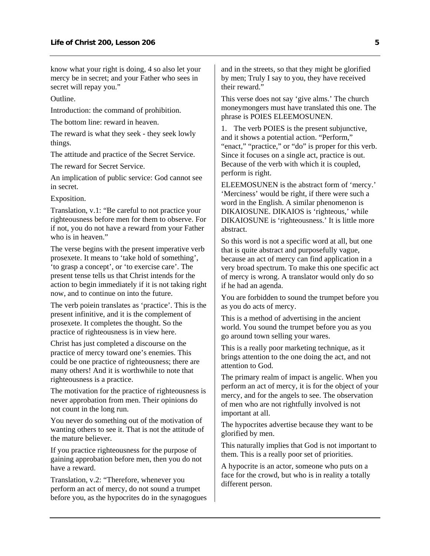know what your right is doing, 4 so also let your mercy be in secret; and your Father who sees in secret will repay you."

Outline.

Introduction: the command of prohibition.

The bottom line: reward in heaven.

The reward is what they seek - they seek lowly things.

The attitude and practice of the Secret Service.

The reward for Secret Service.

An implication of public service: God cannot see in secret.

Exposition.

Translation, v.1: "Be careful to not practice your righteousness before men for them to observe. For if not, you do not have a reward from your Father who is in heaven."

The verse begins with the present imperative verb prosexete. It means to 'take hold of something', 'to grasp a concept', or 'to exercise care'. The present tense tells us that Christ intends for the action to begin immediately if it is not taking right now, and to continue on into the future.

The verb poiein translates as 'practice'. This is the present infinitive, and it is the complement of prosexete. It completes the thought. So the practice of righteousness is in view here.

Christ has just completed a discourse on the practice of mercy toward one's enemies. This could be one practice of righteousness; there are many others! And it is worthwhile to note that righteousness is a practice.

The motivation for the practice of righteousness is never approbation from men. Their opinions do not count in the long run.

You never do something out of the motivation of wanting others to see it. That is not the attitude of the mature believer.

If you practice righteousness for the purpose of gaining approbation before men, then you do not have a reward.

Translation, v.2: "Therefore, whenever you perform an act of mercy, do not sound a trumpet before you, as the hypocrites do in the synagogues and in the streets, so that they might be glorified by men; Truly I say to you, they have received their reward."

This verse does not say 'give alms.' The church moneymongers must have translated this one. The phrase is POIES ELEEMOSUNEN.

1. The verb POIES is the present subjunctive, and it shows a potential action. "Perform," "enact," "practice," or "do" is proper for this verb. Since it focuses on a single act, practice is out. Because of the verb with which it is coupled, perform is right.

ELEEMOSUNEN is the abstract form of 'mercy.' 'Merciness' would be right, if there were such a word in the English. A similar phenomenon is DIKAIOSUNE. DIKAIOS is 'righteous,' while DIKAIOSUNE is 'righteousness.' It is little more abstract.

So this word is not a specific word at all, but one that is quite abstract and purposefully vague, because an act of mercy can find application in a very broad spectrum. To make this one specific act of mercy is wrong. A translator would only do so if he had an agenda.

You are forbidden to sound the trumpet before you as you do acts of mercy.

This is a method of advertising in the ancient world. You sound the trumpet before you as you go around town selling your wares.

This is a really poor marketing technique, as it brings attention to the one doing the act, and not attention to God.

The primary realm of impact is angelic. When you perform an act of mercy, it is for the object of your mercy, and for the angels to see. The observation of men who are not rightfully involved is not important at all.

The hypocrites advertise because they want to be glorified by men.

This naturally implies that God is not important to them. This is a really poor set of priorities.

A hypocrite is an actor, someone who puts on a face for the crowd, but who is in reality a totally different person.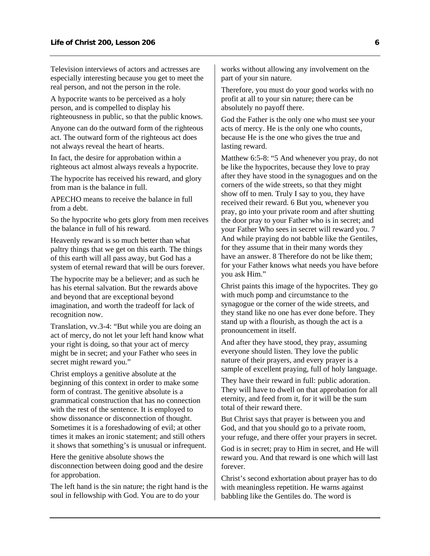Television interviews of actors and actresses are especially interesting because you get to meet the real person, and not the person in the role.

A hypocrite wants to be perceived as a holy person, and is compelled to display his righteousness in public, so that the public knows.

Anyone can do the outward form of the righteous act. The outward form of the righteous act does not always reveal the heart of hearts.

In fact, the desire for approbation within a righteous act almost always reveals a hypocrite.

The hypocrite has received his reward, and glory from man is the balance in full.

APECHO means to receive the balance in full from a debt.

So the hypocrite who gets glory from men receives the balance in full of his reward.

Heavenly reward is so much better than what paltry things that we get on this earth. The things of this earth will all pass away, but God has a system of eternal reward that will be ours forever.

The hypocrite may be a believer; and as such he has his eternal salvation. But the rewards above and beyond that are exceptional beyond imagination, and worth the tradeoff for lack of recognition now.

Translation, vv.3-4: "But while you are doing an act of mercy, do not let your left hand know what your right is doing, so that your act of mercy might be in secret; and your Father who sees in secret might reward you."

Christ employs a genitive absolute at the beginning of this context in order to make some form of contrast. The genitive absolute is a grammatical construction that has no connection with the rest of the sentence. It is employed to show dissonance or disconnection of thought. Sometimes it is a foreshadowing of evil; at other times it makes an ironic statement; and still others it shows that something's is unusual or infrequent.

Here the genitive absolute shows the disconnection between doing good and the desire for approbation.

The left hand is the sin nature; the right hand is the soul in fellowship with God. You are to do your

works without allowing any involvement on the part of your sin nature.

Therefore, you must do your good works with no profit at all to your sin nature; there can be absolutely no payoff there.

God the Father is the only one who must see your acts of mercy. He is the only one who counts, because He is the one who gives the true and lasting reward.

Matthew 6:5-8: "5 And whenever you pray, do not be like the hypocrites, because they love to pray after they have stood in the synagogues and on the corners of the wide streets, so that they might show off to men. Truly I say to you, they have received their reward. 6 But you, whenever you pray, go into your private room and after shutting the door pray to your Father who is in secret; and your Father Who sees in secret will reward you. 7 And while praying do not babble like the Gentiles, for they assume that in their many words they have an answer. 8 Therefore do not be like them; for your Father knows what needs you have before you ask Him."

Christ paints this image of the hypocrites. They go with much pomp and circumstance to the synagogue or the corner of the wide streets, and they stand like no one has ever done before. They stand up with a flourish, as though the act is a pronouncement in itself.

And after they have stood, they pray, assuming everyone should listen. They love the public nature of their prayers, and every prayer is a sample of excellent praying, full of holy language.

They have their reward in full: public adoration. They will have to dwell on that approbation for all eternity, and feed from it, for it will be the sum total of their reward there.

But Christ says that prayer is between you and God, and that you should go to a private room, your refuge, and there offer your prayers in secret.

God is in secret; pray to Him in secret, and He will reward you. And that reward is one which will last forever.

Christ's second exhortation about prayer has to do with meaningless repetition. He warns against babbling like the Gentiles do. The word is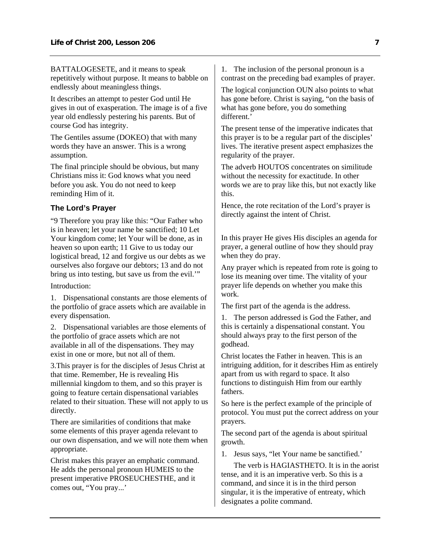<span id="page-8-0"></span>BATTALOGESETE, and it means to speak repetitively without purpose. It means to babble on endlessly about meaningless things.

It describes an attempt to pester God until He gives in out of exasperation. The image is of a five year old endlessly pestering his parents. But of course God has integrity.

The Gentiles assume (DOKEO) that with many words they have an answer. This is a wrong assumption.

The final principle should be obvious, but many Christians miss it: God knows what you need before you ask. You do not need to keep reminding Him of it.

## **The Lord's Prayer**

"9 Therefore you pray like this: "Our Father who is in heaven; let your name be sanctified; 10 Let Your kingdom come; let Your will be done, as in heaven so upon earth; 11 Give to us today our logistical bread, 12 and forgive us our debts as we ourselves also forgave our debtors; 13 and do not bring us into testing, but save us from the evil.'"

Introduction:

1. Dispensational constants are those elements of the portfolio of grace assets which are available in every dispensation.

2. Dispensational variables are those elements of the portfolio of grace assets which are not available in all of the dispensations. They may exist in one or more, but not all of them.

3.This prayer is for the disciples of Jesus Christ at that time. Remember, He is revealing His millennial kingdom to them, and so this prayer is going to feature certain dispensational variables related to their situation. These will not apply to us directly.

There are similarities of conditions that make some elements of this prayer agenda relevant to our own dispensation, and we will note them when appropriate.

Christ makes this prayer an emphatic command. He adds the personal pronoun HUMEIS to the present imperative PROSEUCHESTHE, and it comes out, "You pray...'

1. The inclusion of the personal pronoun is a contrast on the preceding bad examples of prayer.

The logical conjunction OUN also points to what has gone before. Christ is saying, "on the basis of what has gone before, you do something different.'

The present tense of the imperative indicates that this prayer is to be a regular part of the disciples' lives. The iterative present aspect emphasizes the regularity of the prayer.

The adverb HOUTOS concentrates on similitude without the necessity for exactitude. In other words we are to pray like this, but not exactly like this.

Hence, the rote recitation of the Lord's prayer is directly against the intent of Christ.

In this prayer He gives His disciples an agenda for prayer, a general outline of how they should pray when they do pray.

Any prayer which is repeated from rote is going to lose its meaning over time. The vitality of your prayer life depends on whether you make this work.

The first part of the agenda is the address.

1. The person addressed is God the Father, and this is certainly a dispensational constant. You should always pray to the first person of the godhead.

Christ locates the Father in heaven. This is an intriguing addition, for it describes Him as entirely apart from us with regard to space. It also functions to distinguish Him from our earthly fathers.

So here is the perfect example of the principle of protocol. You must put the correct address on your prayers.

The second part of the agenda is about spiritual growth.

1. Jesus says, "let Your name be sanctified.'

 The verb is HAGIASTHETO. It is in the aorist tense, and it is an imperative verb. So this is a command, and since it is in the third person singular, it is the imperative of entreaty, which designates a polite command.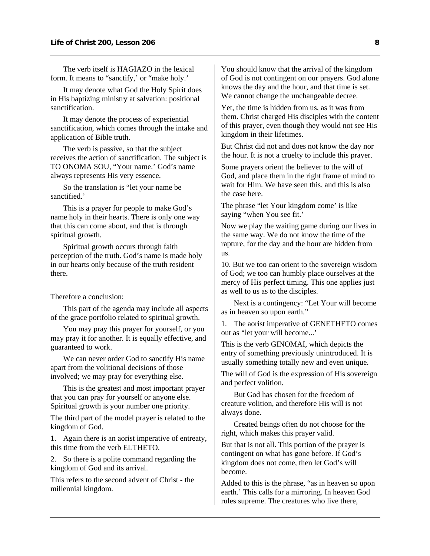The verb itself is HAGIAZO in the lexical form. It means to "sanctify,' or "make holy.'

 It may denote what God the Holy Spirit does in His baptizing ministry at salvation: positional sanctification.

 It may denote the process of experiential sanctification, which comes through the intake and application of Bible truth.

 The verb is passive, so that the subject receives the action of sanctification. The subject is TO ONOMA SOU, "Your name.' God's name always represents His very essence.

 So the translation is "let your name be sanctified.'

 This is a prayer for people to make God's name holy in their hearts. There is only one way that this can come about, and that is through spiritual growth.

 Spiritual growth occurs through faith perception of the truth. God's name is made holy in our hearts only because of the truth resident there.

Therefore a conclusion:

 This part of the agenda may include all aspects of the grace portfolio related to spiritual growth.

 You may pray this prayer for yourself, or you may pray it for another. It is equally effective, and guaranteed to work.

 We can never order God to sanctify His name apart from the volitional decisions of those involved; we may pray for everything else.

 This is the greatest and most important prayer that you can pray for yourself or anyone else. Spiritual growth is your number one priority.

The third part of the model prayer is related to the kingdom of God.

1. Again there is an aorist imperative of entreaty, this time from the verb ELTHETO.

2. So there is a polite command regarding the kingdom of God and its arrival.

This refers to the second advent of Christ - the millennial kingdom.

You should know that the arrival of the kingdom of God is not contingent on our prayers. God alone knows the day and the hour, and that time is set. We cannot change the unchangeable decree.

Yet, the time is hidden from us, as it was from them. Christ charged His disciples with the content of this prayer, even though they would not see His kingdom in their lifetimes.

But Christ did not and does not know the day nor the hour. It is not a cruelty to include this prayer.

Some prayers orient the believer to the will of God, and place them in the right frame of mind to wait for Him. We have seen this, and this is also the case here.

The phrase "let Your kingdom come' is like saying "when You see fit.'

Now we play the waiting game during our lives in the same way. We do not know the time of the rapture, for the day and the hour are hidden from us.

10. But we too can orient to the sovereign wisdom of God; we too can humbly place ourselves at the mercy of His perfect timing. This one applies just as well to us as to the disciples.

 Next is a contingency: "Let Your will become as in heaven so upon earth."

1. The aorist imperative of GENETHETO comes out as "let your will become...'

This is the verb GINOMAI, which depicts the entry of something previously unintroduced. It is usually something totally new and even unique.

The will of God is the expression of His sovereign and perfect volition.

 But God has chosen for the freedom of creature volition, and therefore His will is not always done.

 Created beings often do not choose for the right, which makes this prayer valid.

But that is not all. This portion of the prayer is contingent on what has gone before. If God's kingdom does not come, then let God's will become.

Added to this is the phrase, "as in heaven so upon earth.' This calls for a mirroring. In heaven God rules supreme. The creatures who live there,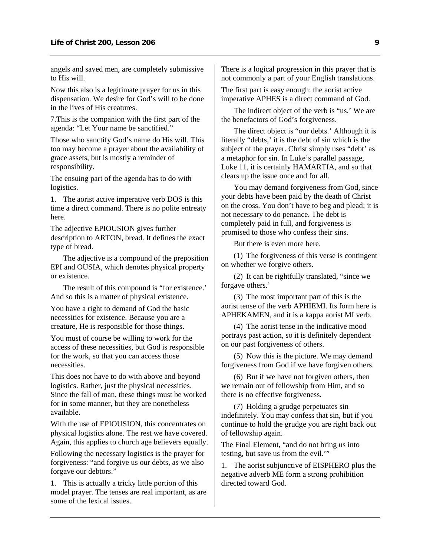angels and saved men, are completely submissive to His will.

Now this also is a legitimate prayer for us in this dispensation. We desire for God's will to be done in the lives of His creatures.

7.This is the companion with the first part of the agenda: "Let Your name be sanctified."

Those who sanctify God's name do His will. This too may become a prayer about the availability of grace assets, but is mostly a reminder of responsibility.

The ensuing part of the agenda has to do with logistics.

1. The aorist active imperative verb DOS is this time a direct command. There is no polite entreaty here.

The adjective EPIOUSION gives further description to ARTON, bread. It defines the exact type of bread.

 The adjective is a compound of the preposition EPI and OUSIA, which denotes physical property or existence.

 The result of this compound is "for existence.' And so this is a matter of physical existence.

You have a right to demand of God the basic necessities for existence. Because you are a creature, He is responsible for those things.

You must of course be willing to work for the access of these necessities, but God is responsible for the work, so that you can access those necessities.

This does not have to do with above and beyond logistics. Rather, just the physical necessities. Since the fall of man, these things must be worked for in some manner, but they are nonetheless available.

With the use of EPIOUSION, this concentrates on physical logistics alone. The rest we have covered. Again, this applies to church age believers equally.

Following the necessary logistics is the prayer for forgiveness: "and forgive us our debts, as we also forgave our debtors."

1. This is actually a tricky little portion of this model prayer. The tenses are real important, as are some of the lexical issues.

There is a logical progression in this prayer that is not commonly a part of your English translations.

The first part is easy enough: the aorist active imperative APHES is a direct command of God.

 The indirect object of the verb is "us.' We are the benefactors of God's forgiveness.

 The direct object is "our debts.' Although it is literally "debts,' it is the debt of sin which is the subject of the prayer. Christ simply uses "debt' as a metaphor for sin. In Luke's parallel passage, Luke 11, it is certainly HAMARTIA, and so that clears up the issue once and for all.

 You may demand forgiveness from God, since your debts have been paid by the death of Christ on the cross. You don't have to beg and plead; it is not necessary to do penance. The debt is completely paid in full, and forgiveness is promised to those who confess their sins.

But there is even more here.

 (1) The forgiveness of this verse is contingent on whether we forgive others.

 (2) It can be rightfully translated, "since we forgave others.'

 (3) The most important part of this is the aorist tense of the verb APHIEMI. Its form here is APHEKAMEN, and it is a kappa aorist MI verb.

 (4) The aorist tense in the indicative mood portrays past action, so it is definitely dependent on our past forgiveness of others.

 (5) Now this is the picture. We may demand forgiveness from God if we have forgiven others.

 (6) But if we have not forgiven others, then we remain out of fellowship from Him, and so there is no effective forgiveness.

 (7) Holding a grudge perpetuates sin indefinitely. You may confess that sin, but if you continue to hold the grudge you are right back out of fellowship again.

The Final Element, "and do not bring us into testing, but save us from the evil.'"

1. The aorist subjunctive of EISPHERO plus the negative adverb ME form a strong prohibition directed toward God.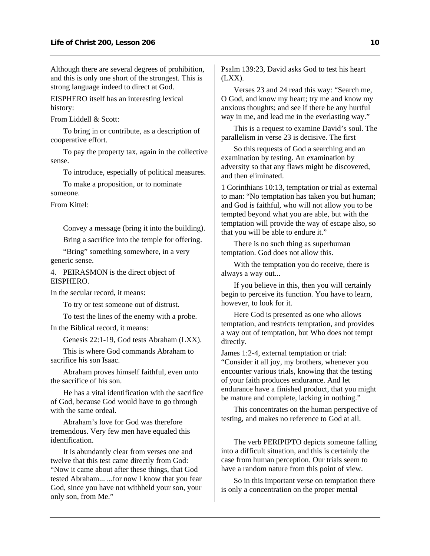Although there are several degrees of prohibition, and this is only one short of the strongest. This is strong language indeed to direct at God.

EISPHERO itself has an interesting lexical history:

From Liddell & Scott:

 To bring in or contribute, as a description of cooperative effort.

 To pay the property tax, again in the collective sense.

To introduce, especially of political measures.

 To make a proposition, or to nominate someone.

From Kittel:

 Convey a message (bring it into the building). Bring a sacrifice into the temple for offering.

 "Bring" something somewhere, in a very generic sense.

4. PEIRASMON is the direct object of EISPHERO.

In the secular record, it means:

To try or test someone out of distrust.

To test the lines of the enemy with a probe.

In the Biblical record, it means:

Genesis 22:1-19, God tests Abraham (LXX).

 This is where God commands Abraham to sacrifice his son Isaac.

 Abraham proves himself faithful, even unto the sacrifice of his son.

 He has a vital identification with the sacrifice of God, because God would have to go through with the same ordeal.

 Abraham's love for God was therefore tremendous. Very few men have equaled this identification.

 It is abundantly clear from verses one and twelve that this test came directly from God: "Now it came about after these things, that God tested Abraham... ...for now I know that you fear God, since you have not withheld your son, your only son, from Me."

Psalm 139:23, David asks God to test his heart (LXX).

 Verses 23 and 24 read this way: "Search me, O God, and know my heart; try me and know my anxious thoughts; and see if there be any hurtful way in me, and lead me in the everlasting way."

 This is a request to examine David's soul. The parallelism in verse 23 is decisive. The first

 So this requests of God a searching and an examination by testing. An examination by adversity so that any flaws might be discovered, and then eliminated.

1 Corinthians 10:13, temptation or trial as external to man: "No temptation has taken you but human; and God is faithful, who will not allow you to be tempted beyond what you are able, but with the temptation will provide the way of escape also, so that you will be able to endure it."

 There is no such thing as superhuman temptation. God does not allow this.

 With the temptation you do receive, there is always a way out...

 If you believe in this, then you will certainly begin to perceive its function. You have to learn, however, to look for it.

 Here God is presented as one who allows temptation, and restricts temptation, and provides a way out of temptation, but Who does not tempt directly.

James 1:2-4, external temptation or trial: "Consider it all joy, my brothers, whenever you encounter various trials, knowing that the testing of your faith produces endurance. And let endurance have a finished product, that you might be mature and complete, lacking in nothing."

 This concentrates on the human perspective of testing, and makes no reference to God at all.

 The verb PERIPIPTO depicts someone falling into a difficult situation, and this is certainly the case from human perception. Our trials seem to have a random nature from this point of view.

 So in this important verse on temptation there is only a concentration on the proper mental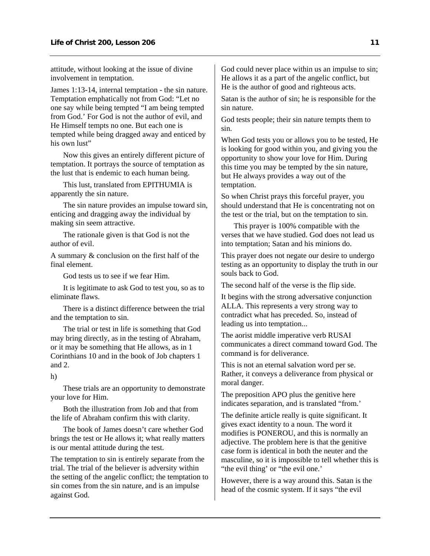attitude, without looking at the issue of divine involvement in temptation.

James 1:13-14, internal temptation - the sin nature. Temptation emphatically not from God: "Let no one say while being tempted "I am being tempted from God.' For God is not the author of evil, and He Himself tempts no one. But each one is tempted while being dragged away and enticed by his own lust"

 Now this gives an entirely different picture of temptation. It portrays the source of temptation as the lust that is endemic to each human being.

 This lust, translated from EPITHUMIA is apparently the sin nature.

 The sin nature provides an impulse toward sin, enticing and dragging away the individual by making sin seem attractive.

 The rationale given is that God is not the author of evil.

A summary & conclusion on the first half of the final element.

God tests us to see if we fear Him.

 It is legitimate to ask God to test you, so as to eliminate flaws.

 There is a distinct difference between the trial and the temptation to sin.

 The trial or test in life is something that God may bring directly, as in the testing of Abraham, or it may be something that He allows, as in 1 Corinthians 10 and in the book of Job chapters 1 and 2.

h)

 These trials are an opportunity to demonstrate your love for Him.

 Both the illustration from Job and that from the life of Abraham confirm this with clarity.

 The book of James doesn't care whether God brings the test or He allows it; what really matters is our mental attitude during the test.

The temptation to sin is entirely separate from the trial. The trial of the believer is adversity within the setting of the angelic conflict; the temptation to sin comes from the sin nature, and is an impulse against God.

God could never place within us an impulse to sin; He allows it as a part of the angelic conflict, but He is the author of good and righteous acts.

Satan is the author of sin; he is responsible for the sin nature.

God tests people; their sin nature tempts them to sin.

When God tests you or allows you to be tested, He is looking for good within you, and giving you the opportunity to show your love for Him. During this time you may be tempted by the sin nature, but He always provides a way out of the temptation.

So when Christ prays this forceful prayer, you should understand that He is concentrating not on the test or the trial, but on the temptation to sin.

 This prayer is 100% compatible with the verses that we have studied. God does not lead us into temptation; Satan and his minions do.

This prayer does not negate our desire to undergo testing as an opportunity to display the truth in our souls back to God.

The second half of the verse is the flip side.

It begins with the strong adversative conjunction ALLA. This represents a very strong way to contradict what has preceded. So, instead of leading us into temptation...

The aorist middle imperative verb RUSAI communicates a direct command toward God. The command is for deliverance.

This is not an eternal salvation word per se. Rather, it conveys a deliverance from physical or moral danger.

The preposition APO plus the genitive here indicates separation, and is translated "from.'

The definite article really is quite significant. It gives exact identity to a noun. The word it modifies is PONEROU, and this is normally an adjective. The problem here is that the genitive case form is identical in both the neuter and the masculine, so it is impossible to tell whether this is "the evil thing' or "the evil one."

However, there is a way around this. Satan is the head of the cosmic system. If it says "the evil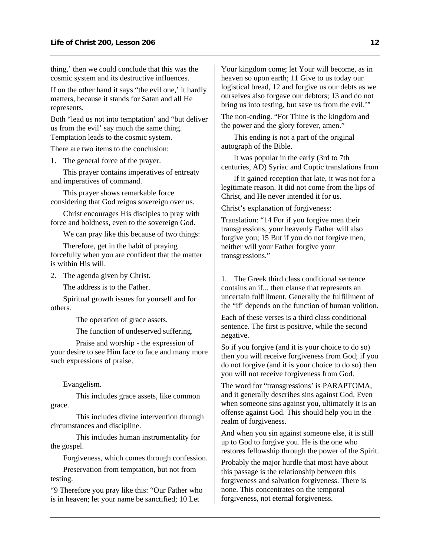thing,' then we could conclude that this was the cosmic system and its destructive influences.

If on the other hand it says "the evil one,' it hardly matters, because it stands for Satan and all He represents.

Both "lead us not into temptation' and "but deliver us from the evil' say much the same thing. Temptation leads to the cosmic system.

There are two items to the conclusion:

1. The general force of the prayer.

 This prayer contains imperatives of entreaty and imperatives of command.

 This prayer shows remarkable force considering that God reigns sovereign over us.

 Christ encourages His disciples to pray with force and boldness, even to the sovereign God.

We can pray like this because of two things:

 Therefore, get in the habit of praying forcefully when you are confident that the matter is within His will.

2. The agenda given by Christ.

The address is to the Father.

 Spiritual growth issues for yourself and for others.

The operation of grace assets.

The function of undeserved suffering.

 Praise and worship - the expression of your desire to see Him face to face and many more such expressions of praise.

Evangelism.

 This includes grace assets, like common grace.

 This includes divine intervention through circumstances and discipline.

 This includes human instrumentality for the gospel.

Forgiveness, which comes through confession.

 Preservation from temptation, but not from testing.

"9 Therefore you pray like this: "Our Father who is in heaven; let your name be sanctified; 10 Let

Your kingdom come; let Your will become, as in heaven so upon earth; 11 Give to us today our logistical bread, 12 and forgive us our debts as we ourselves also forgave our debtors; 13 and do not bring us into testing, but save us from the evil.'"

The non-ending. "For Thine is the kingdom and the power and the glory forever, amen."

 This ending is not a part of the original autograph of the Bible.

 It was popular in the early (3rd to 7th centuries, AD) Syriac and Coptic translations from

 If it gained reception that late, it was not for a legitimate reason. It did not come from the lips of Christ, and He never intended it for us.

Christ's explanation of forgiveness:

Translation: "14 For if you forgive men their transgressions, your heavenly Father will also forgive you; 15 But if you do not forgive men, neither will your Father forgive your transgressions."

1. The Greek third class conditional sentence contains an if... then clause that represents an uncertain fulfillment. Generally the fulfillment of the "if' depends on the function of human volition.

Each of these verses is a third class conditional sentence. The first is positive, while the second negative.

So if you forgive (and it is your choice to do so) then you will receive forgiveness from God; if you do not forgive (and it is your choice to do so) then you will not receive forgiveness from God.

The word for "transgressions' is PARAPTOMA, and it generally describes sins against God. Even when someone sins against you, ultimately it is an offense against God. This should help you in the realm of forgiveness.

And when you sin against someone else, it is still up to God to forgive you. He is the one who restores fellowship through the power of the Spirit.

Probably the major hurdle that most have about this passage is the relationship between this forgiveness and salvation forgiveness. There is none. This concentrates on the temporal forgiveness, not eternal forgiveness.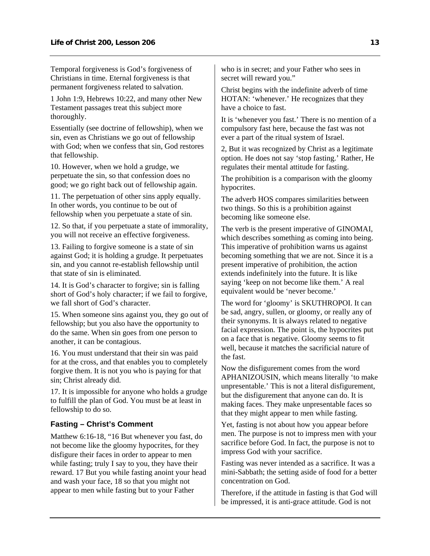<span id="page-14-0"></span>Temporal forgiveness is God's forgiveness of Christians in time. Eternal forgiveness is that permanent forgiveness related to salvation.

1 John 1:9, Hebrews 10:22, and many other New Testament passages treat this subject more thoroughly.

Essentially (see doctrine of fellowship), when we sin, even as Christians we go out of fellowship with God; when we confess that sin, God restores that fellowship.

10. However, when we hold a grudge, we perpetuate the sin, so that confession does no good; we go right back out of fellowship again.

11. The perpetuation of other sins apply equally. In other words, you continue to be out of fellowship when you perpetuate a state of sin.

12. So that, if you perpetuate a state of immorality, you will not receive an effective forgiveness.

13. Failing to forgive someone is a state of sin against God; it is holding a grudge. It perpetuates sin, and you cannot re-establish fellowship until that state of sin is eliminated.

14. It is God's character to forgive; sin is falling short of God's holy character; if we fail to forgive, we fall short of God's character.

15. When someone sins against you, they go out of fellowship; but you also have the opportunity to do the same. When sin goes from one person to another, it can be contagious.

16. You must understand that their sin was paid for at the cross, and that enables you to completely forgive them. It is not you who is paying for that sin; Christ already did.

17. It is impossible for anyone who holds a grudge to fulfill the plan of God. You must be at least in fellowship to do so.

## **Fasting – Christ's Comment**

Matthew 6:16-18, "16 But whenever you fast, do not become like the gloomy hypocrites, for they disfigure their faces in order to appear to men while fasting; truly I say to you, they have their reward. 17 But you while fasting anoint your head and wash your face, 18 so that you might not appear to men while fasting but to your Father

who is in secret; and your Father who sees in secret will reward you."

Christ begins with the indefinite adverb of time HOTAN: 'whenever.' He recognizes that they have a choice to fast.

It is 'whenever you fast.' There is no mention of a compulsory fast here, because the fast was not ever a part of the ritual system of Israel.

2, But it was recognized by Christ as a legitimate option. He does not say 'stop fasting.' Rather, He regulates their mental attitude for fasting.

The prohibition is a comparison with the gloomy hypocrites.

The adverb HOS compares similarities between two things. So this is a prohibition against becoming like someone else.

The verb is the present imperative of GINOMAI, which describes something as coming into being. This imperative of prohibition warns us against becoming something that we are not. Since it is a present imperative of prohibition, the action extends indefinitely into the future. It is like saying 'keep on not become like them.' A real equivalent would be 'never become.'

The word for 'gloomy' is SKUTHROPOI. It can be sad, angry, sullen, or gloomy, or really any of their synonyms. It is always related to negative facial expression. The point is, the hypocrites put on a face that is negative. Gloomy seems to fit well, because it matches the sacrificial nature of the fast.

Now the disfigurement comes from the word APHANIZOUSIN, which means literally 'to make unpresentable.' This is not a literal disfigurement, but the disfigurement that anyone can do. It is making faces. They make unpresentable faces so that they might appear to men while fasting.

Yet, fasting is not about how you appear before men. The purpose is not to impress men with your sacrifice before God. In fact, the purpose is not to impress God with your sacrifice.

Fasting was never intended as a sacrifice. It was a mini-Sabbath; the setting aside of food for a better concentration on God.

Therefore, if the attitude in fasting is that God will be impressed, it is anti-grace attitude. God is not